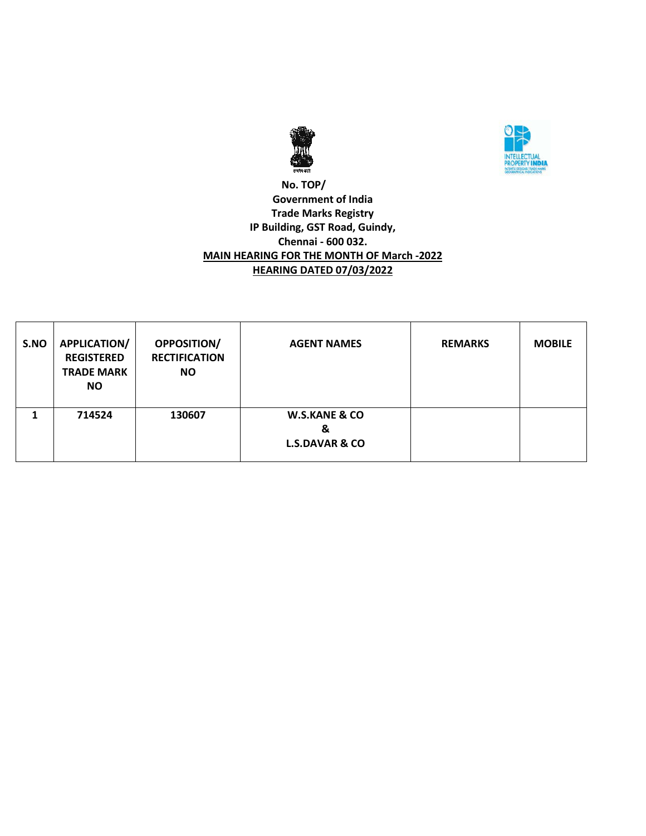



### **No. TOP/ Government of India Trade Marks Registry IP Building, GST Road, Guindy, Chennai - 600 032. MAIN HEARING FOR THE MONTH OF March -2022 HEARING DATED 07/03/2022**

| S.NO | APPLICATION/<br><b>REGISTERED</b><br><b>TRADE MARK</b><br><b>NO</b> | <b>OPPOSITION/</b><br><b>RECTIFICATION</b><br><b>NO</b> | <b>AGENT NAMES</b>                                         | <b>REMARKS</b> | <b>MOBILE</b> |
|------|---------------------------------------------------------------------|---------------------------------------------------------|------------------------------------------------------------|----------------|---------------|
|      | 714524                                                              | 130607                                                  | <b>W.S.KANE &amp; CO</b><br>&<br><b>L.S.DAVAR &amp; CO</b> |                |               |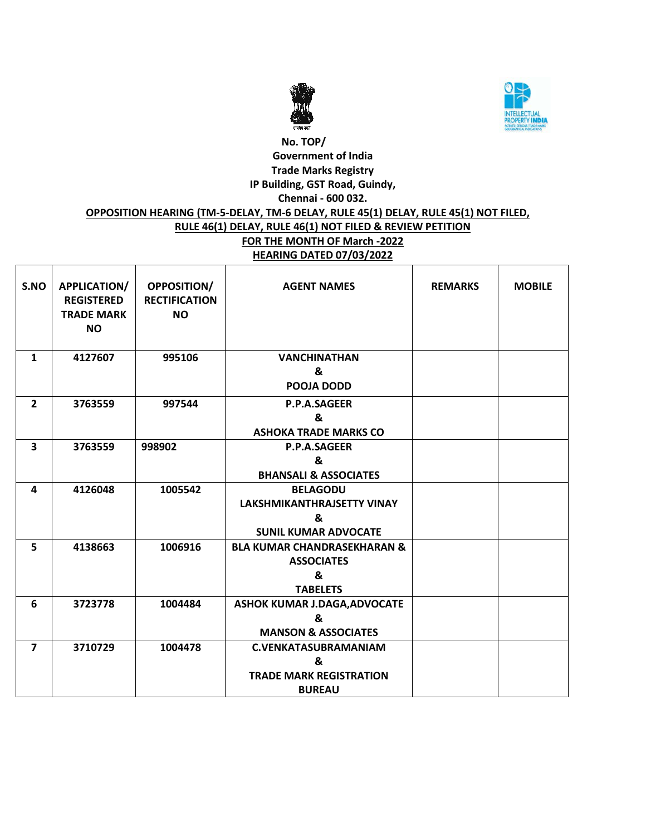



# **No. TOP/ Government of India Trade Marks Registry IP Building, GST Road, Guindy, Chennai - 600 032. OPPOSITION HEARING (TM-5-DELAY, TM-6 DELAY, RULE 45(1) DELAY, RULE 45(1) NOT FILED, RULE 46(1) DELAY, RULE 46(1) NOT FILED & REVIEW PETITION FOR THE MONTH OF March -2022 HEARING DATED 07/03/2022**

| S.NO                    | <b>APPLICATION/</b><br><b>REGISTERED</b><br><b>TRADE MARK</b><br><b>NO</b> | OPPOSITION/<br><b>RECTIFICATION</b><br><b>NO</b> | <b>AGENT NAMES</b>                     | <b>REMARKS</b> | <b>MOBILE</b> |
|-------------------------|----------------------------------------------------------------------------|--------------------------------------------------|----------------------------------------|----------------|---------------|
| 1                       | 4127607                                                                    | 995106                                           | <b>VANCHINATHAN</b>                    |                |               |
|                         |                                                                            |                                                  | &                                      |                |               |
|                         |                                                                            |                                                  | POOJA DODD                             |                |               |
| $\overline{2}$          | 3763559                                                                    | 997544                                           | P.P.A.SAGEER                           |                |               |
|                         |                                                                            |                                                  | &                                      |                |               |
|                         |                                                                            |                                                  | <b>ASHOKA TRADE MARKS CO</b>           |                |               |
| $\overline{\mathbf{3}}$ | 3763559                                                                    | 998902                                           | P.P.A.SAGEER                           |                |               |
|                         |                                                                            |                                                  | &                                      |                |               |
|                         |                                                                            |                                                  | <b>BHANSALI &amp; ASSOCIATES</b>       |                |               |
| 4                       | 4126048                                                                    | 1005542                                          | <b>BELAGODU</b>                        |                |               |
|                         |                                                                            |                                                  | LAKSHMIKANTHRAJSETTY VINAY             |                |               |
|                         |                                                                            |                                                  | &                                      |                |               |
|                         |                                                                            |                                                  | <b>SUNIL KUMAR ADVOCATE</b>            |                |               |
| 5                       | 4138663                                                                    | 1006916                                          | <b>BLA KUMAR CHANDRASEKHARAN &amp;</b> |                |               |
|                         |                                                                            |                                                  | <b>ASSOCIATES</b>                      |                |               |
|                         |                                                                            |                                                  | &                                      |                |               |
|                         |                                                                            |                                                  | <b>TABELETS</b>                        |                |               |
| 6                       | 3723778                                                                    | 1004484                                          | <b>ASHOK KUMAR J.DAGA, ADVOCATE</b>    |                |               |
|                         |                                                                            |                                                  | &                                      |                |               |
|                         |                                                                            |                                                  | <b>MANSON &amp; ASSOCIATES</b>         |                |               |
| $\overline{7}$          | 3710729                                                                    | 1004478                                          | <b>C.VENKATASUBRAMANIAM</b>            |                |               |
|                         |                                                                            |                                                  | &                                      |                |               |
|                         |                                                                            |                                                  | <b>TRADE MARK REGISTRATION</b>         |                |               |
|                         |                                                                            |                                                  | <b>BUREAU</b>                          |                |               |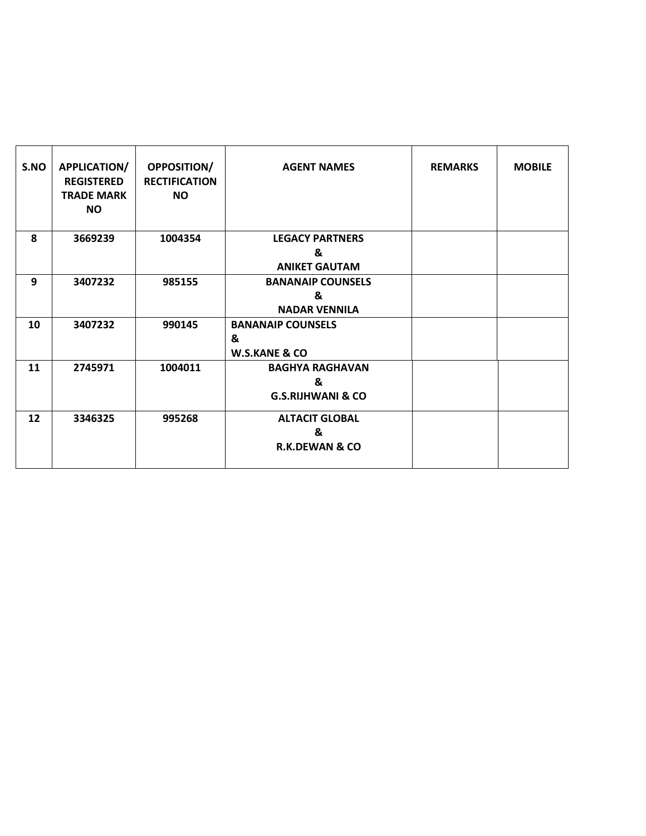| S.NO | APPLICATION/<br><b>REGISTERED</b><br><b>TRADE MARK</b><br><b>NO</b> | <b>OPPOSITION/</b><br><b>RECTIFICATION</b><br><b>NO</b> | <b>AGENT NAMES</b>                                          | <b>REMARKS</b> | <b>MOBILE</b> |
|------|---------------------------------------------------------------------|---------------------------------------------------------|-------------------------------------------------------------|----------------|---------------|
| 8    | 3669239                                                             | 1004354                                                 | <b>LEGACY PARTNERS</b>                                      |                |               |
|      |                                                                     |                                                         | &                                                           |                |               |
|      |                                                                     |                                                         | <b>ANIKET GAUTAM</b>                                        |                |               |
| 9    | 3407232                                                             | 985155                                                  | <b>BANANAIP COUNSELS</b>                                    |                |               |
|      |                                                                     |                                                         | &                                                           |                |               |
|      |                                                                     |                                                         | <b>NADAR VENNILA</b>                                        |                |               |
| 10   | 3407232                                                             | 990145                                                  | <b>BANANAIP COUNSELS</b><br>&                               |                |               |
|      |                                                                     |                                                         | <b>W.S.KANE &amp; CO</b>                                    |                |               |
| 11   | 2745971                                                             | 1004011                                                 | <b>BAGHYA RAGHAVAN</b><br>&<br><b>G.S.RIJHWANI &amp; CO</b> |                |               |
| 12   | 3346325                                                             | 995268                                                  | <b>ALTACIT GLOBAL</b><br>&<br><b>R.K.DEWAN &amp; CO</b>     |                |               |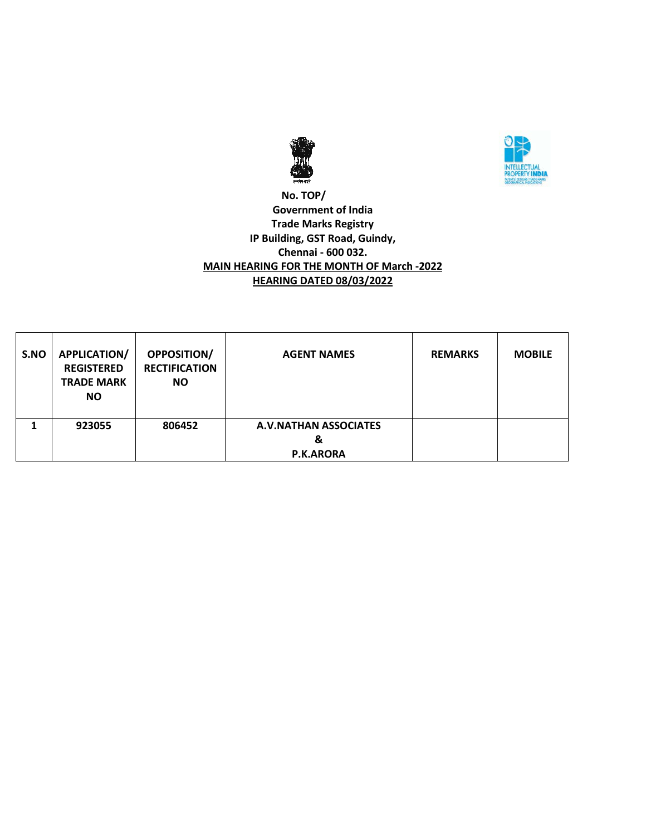



### **No. TOP/ Government of India Trade Marks Registry IP Building, GST Road, Guindy, Chennai - 600 032. MAIN HEARING FOR THE MONTH OF March -2022 HEARING DATED 08/03/2022**

| S.NO | <b>APPLICATION/</b><br><b>REGISTERED</b><br><b>TRADE MARK</b><br><b>NO</b> | <b>OPPOSITION/</b><br><b>RECTIFICATION</b><br><b>NO</b> | <b>AGENT NAMES</b>                                    | <b>REMARKS</b> | <b>MOBILE</b> |
|------|----------------------------------------------------------------------------|---------------------------------------------------------|-------------------------------------------------------|----------------|---------------|
|      | 923055                                                                     | 806452                                                  | <b>A.V.NATHAN ASSOCIATES</b><br>&<br><b>P.K.ARORA</b> |                |               |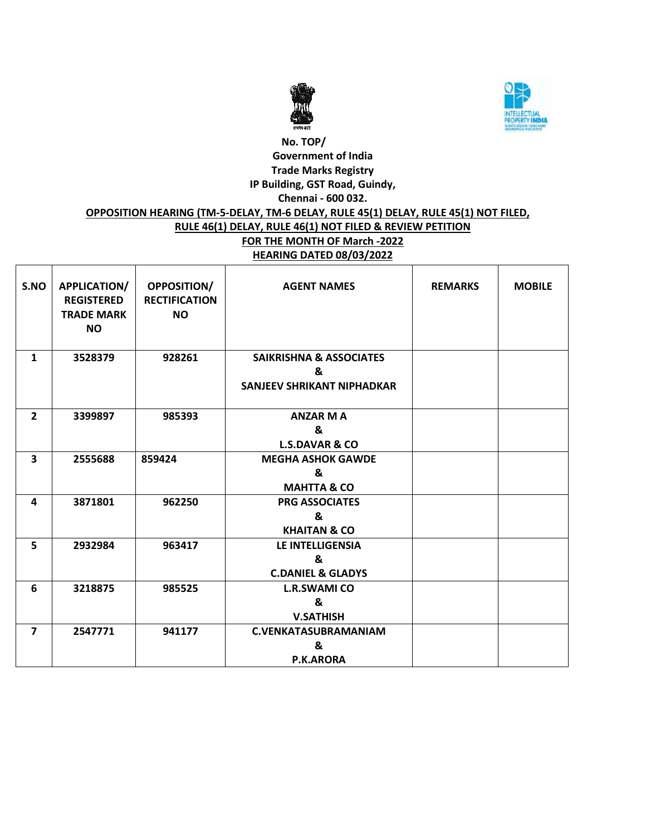



# **No. TOP/ Government of India Trade Marks Registry IP Building, GST Road, Guindy, Chennai - 600 032. OPPOSITION HEARING (TM-5-DELAY, TM-6 DELAY, RULE 45(1) DELAY, RULE 45(1) NOT FILED, RULE 46(1) DELAY, RULE 46(1) NOT FILED & REVIEW PETITION FOR THE MONTH OF March -2022 HEARING DATED 08/03/2022**

| S.NO                    | <b>APPLICATION/</b><br><b>REGISTERED</b><br><b>TRADE MARK</b><br><b>NO</b> | <b>OPPOSITION/</b><br><b>RECTIFICATION</b><br><b>NO</b> | <b>AGENT NAMES</b>                                                           | <b>REMARKS</b> | <b>MOBILE</b> |
|-------------------------|----------------------------------------------------------------------------|---------------------------------------------------------|------------------------------------------------------------------------------|----------------|---------------|
| $\mathbf{1}$            | 3528379                                                                    | 928261                                                  | <b>SAIKRISHNA &amp; ASSOCIATES</b><br>&<br><b>SANJEEV SHRIKANT NIPHADKAR</b> |                |               |
| $\overline{2}$          | 3399897                                                                    | 985393                                                  | <b>ANZAR MA</b><br>&<br><b>L.S.DAVAR &amp; CO</b>                            |                |               |
| $\overline{\mathbf{3}}$ | 2555688                                                                    | 859424                                                  | <b>MEGHA ASHOK GAWDE</b><br>&<br><b>MAHTTA &amp; CO</b>                      |                |               |
| 4                       | 3871801                                                                    | 962250                                                  | <b>PRG ASSOCIATES</b><br>&<br><b>KHAITAN &amp; CO</b>                        |                |               |
| 5                       | 2932984                                                                    | 963417                                                  | <b>LE INTELLIGENSIA</b><br>&<br><b>C.DANIEL &amp; GLADYS</b>                 |                |               |
| 6                       | 3218875                                                                    | 985525                                                  | <b>L.R.SWAMI CO</b><br>&<br><b>V.SATHISH</b>                                 |                |               |
| $\overline{7}$          | 2547771                                                                    | 941177                                                  | <b>C.VENKATASUBRAMANIAM</b><br>&<br><b>P.K.ARORA</b>                         |                |               |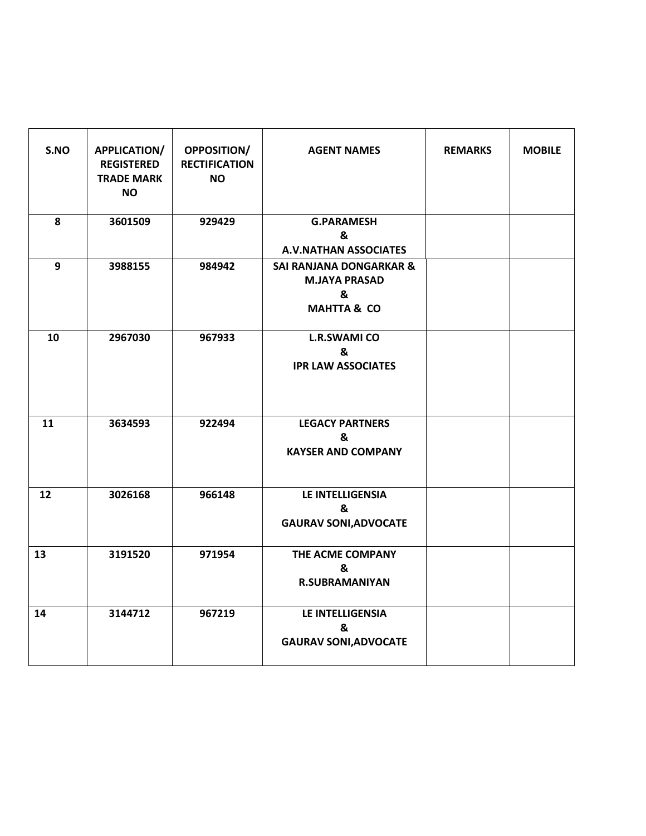| S.NO | APPLICATION/<br><b>REGISTERED</b><br><b>TRADE MARK</b><br><b>NO</b> | <b>OPPOSITION/</b><br><b>RECTIFICATION</b><br><b>NO</b> | <b>AGENT NAMES</b>                                                                        | <b>REMARKS</b> | <b>MOBILE</b> |
|------|---------------------------------------------------------------------|---------------------------------------------------------|-------------------------------------------------------------------------------------------|----------------|---------------|
| 8    | 3601509                                                             | 929429                                                  | <b>G.PARAMESH</b><br>&<br><b>A.V.NATHAN ASSOCIATES</b>                                    |                |               |
| 9    | 3988155                                                             | 984942                                                  | <b>SAI RANJANA DONGARKAR &amp;</b><br><b>M.JAYA PRASAD</b><br>&<br><b>MAHTTA &amp; CO</b> |                |               |
| 10   | 2967030                                                             | 967933                                                  | <b>L.R.SWAMI CO</b><br>&<br><b>IPR LAW ASSOCIATES</b>                                     |                |               |
| 11   | 3634593                                                             | 922494                                                  | <b>LEGACY PARTNERS</b><br>&<br><b>KAYSER AND COMPANY</b>                                  |                |               |
| 12   | 3026168                                                             | 966148                                                  | LE INTELLIGENSIA<br>&<br><b>GAURAV SONI, ADVOCATE</b>                                     |                |               |
| 13   | 3191520                                                             | 971954                                                  | THE ACME COMPANY<br>&<br><b>R.SUBRAMANIYAN</b>                                            |                |               |
| 14   | 3144712                                                             | 967219                                                  | LE INTELLIGENSIA<br>&<br><b>GAURAV SONI, ADVOCATE</b>                                     |                |               |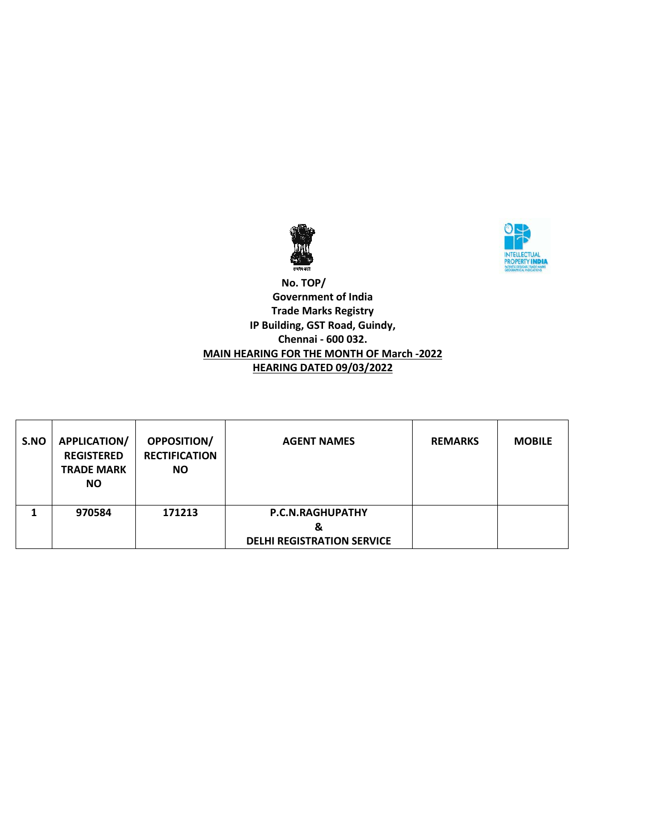



### **No. TOP/ Government of India Trade Marks Registry IP Building, GST Road, Guindy, Chennai - 600 032. MAIN HEARING FOR THE MONTH OF March -2022 HEARING DATED 09/03/2022**

| S.NO | <b>APPLICATION/</b><br><b>REGISTERED</b><br><b>TRADE MARK</b><br><b>NO</b> | <b>OPPOSITION/</b><br><b>RECTIFICATION</b><br><b>NO</b> | <b>AGENT NAMES</b>                                                | <b>REMARKS</b> | <b>MOBILE</b> |
|------|----------------------------------------------------------------------------|---------------------------------------------------------|-------------------------------------------------------------------|----------------|---------------|
|      | 970584                                                                     | 171213                                                  | <b>P.C.N.RAGHUPATHY</b><br>&<br><b>DELHI REGISTRATION SERVICE</b> |                |               |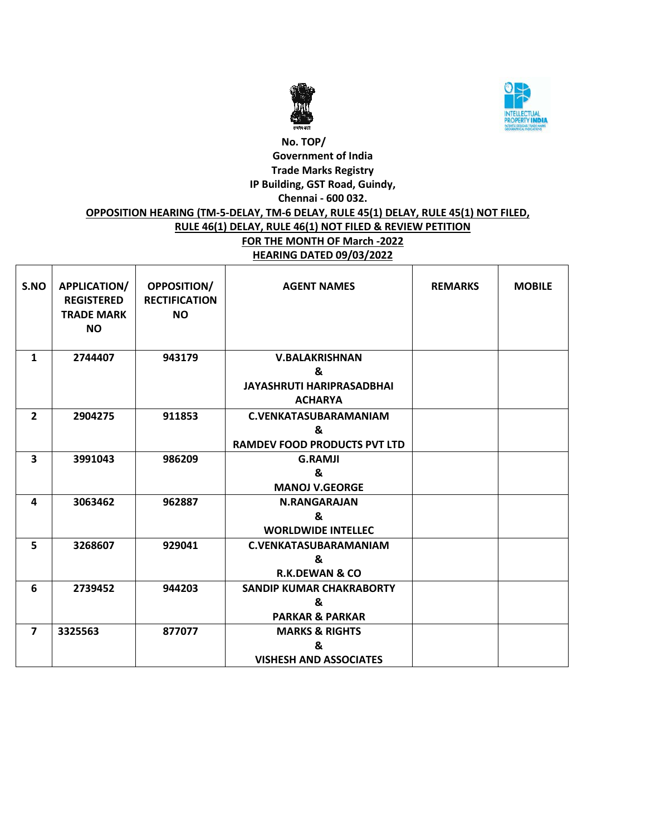



# **No. TOP/ Government of India Trade Marks Registry IP Building, GST Road, Guindy, Chennai - 600 032. OPPOSITION HEARING (TM-5-DELAY, TM-6 DELAY, RULE 45(1) DELAY, RULE 45(1) NOT FILED, RULE 46(1) DELAY, RULE 46(1) NOT FILED & REVIEW PETITION FOR THE MONTH OF March -2022 HEARING DATED 09/03/2022**

| S.NO           | <b>APPLICATION/</b><br><b>REGISTERED</b><br><b>TRADE MARK</b><br><b>NO</b> | OPPOSITION/<br><b>RECTIFICATION</b><br><b>NO</b> | <b>AGENT NAMES</b>                                      | <b>REMARKS</b> | <b>MOBILE</b> |
|----------------|----------------------------------------------------------------------------|--------------------------------------------------|---------------------------------------------------------|----------------|---------------|
| $\mathbf{1}$   | 2744407                                                                    | 943179                                           | <b>V.BALAKRISHNAN</b>                                   |                |               |
|                |                                                                            |                                                  | &<br><b>JAYASHRUTI HARIPRASADBHAI</b><br><b>ACHARYA</b> |                |               |
| $\overline{2}$ | 2904275                                                                    | 911853                                           | <b>C.VENKATASUBARAMANIAM</b>                            |                |               |
|                |                                                                            |                                                  | &<br><b>RAMDEV FOOD PRODUCTS PVT LTD</b>                |                |               |
| 3              | 3991043                                                                    | 986209                                           | <b>G.RAMJI</b><br>&                                     |                |               |
|                |                                                                            |                                                  | <b>MANOJ V.GEORGE</b>                                   |                |               |
| 4              | 3063462                                                                    | 962887                                           | <b>N.RANGARAJAN</b>                                     |                |               |
|                |                                                                            |                                                  | &<br><b>WORLDWIDE INTELLEC</b>                          |                |               |
| 5              | 3268607                                                                    | 929041                                           | <b>C.VENKATASUBARAMANIAM</b>                            |                |               |
|                |                                                                            |                                                  | &<br><b>R.K.DEWAN &amp; CO</b>                          |                |               |
| 6              | 2739452                                                                    | 944203                                           | <b>SANDIP KUMAR CHAKRABORTY</b>                         |                |               |
|                |                                                                            |                                                  | &                                                       |                |               |
|                |                                                                            |                                                  | <b>PARKAR &amp; PARKAR</b>                              |                |               |
| $\overline{7}$ | 3325563                                                                    | 877077                                           | <b>MARKS &amp; RIGHTS</b>                               |                |               |
|                |                                                                            |                                                  | &                                                       |                |               |
|                |                                                                            |                                                  | <b>VISHESH AND ASSOCIATES</b>                           |                |               |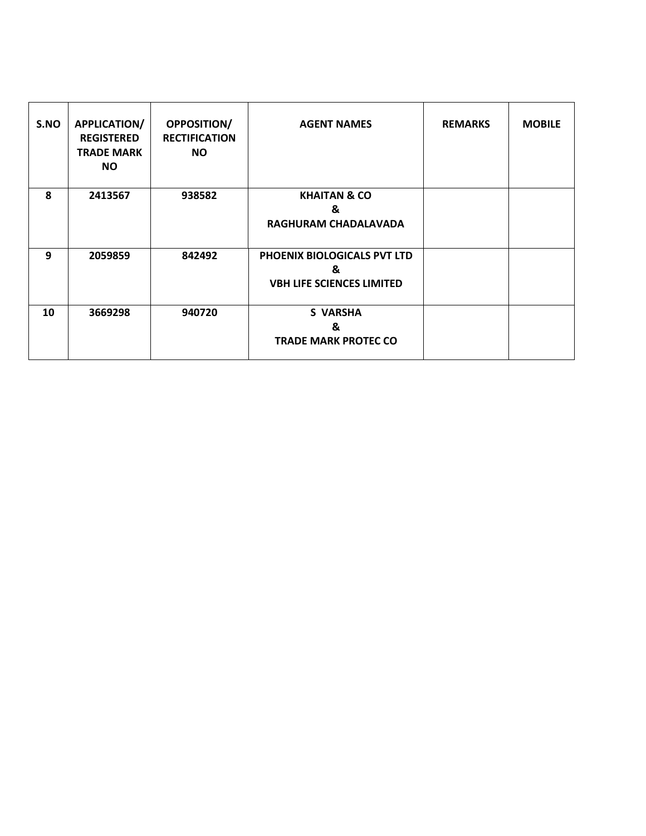| S.NO | <b>APPLICATION/</b><br><b>REGISTERED</b><br><b>TRADE MARK</b><br><b>NO</b> | <b>OPPOSITION/</b><br><b>RECTIFICATION</b><br>NO. | <b>AGENT NAMES</b>                                                   | <b>REMARKS</b> | <b>MOBILE</b> |
|------|----------------------------------------------------------------------------|---------------------------------------------------|----------------------------------------------------------------------|----------------|---------------|
| 8    | 2413567                                                                    | 938582                                            | <b>KHAITAN &amp; CO</b><br>&<br>RAGHURAM CHADALAVADA                 |                |               |
| 9    | 2059859                                                                    | 842492                                            | PHOENIX BIOLOGICALS PVT LTD<br>&<br><b>VBH LIFE SCIENCES LIMITED</b> |                |               |
| 10   | 3669298                                                                    | 940720                                            | <b>S VARSHA</b><br>&<br><b>TRADE MARK PROTEC CO</b>                  |                |               |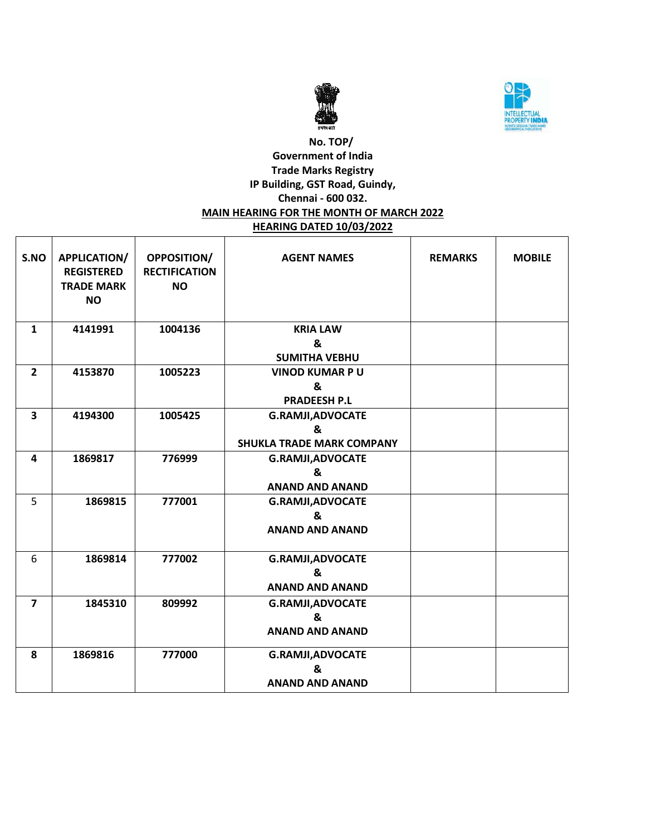



### **No. TOP/ Government of India Trade Marks Registry IP Building, GST Road, Guindy, Chennai - 600 032. MAIN HEARING FOR THE MONTH OF MARCH 2022 HEARING DATED 10/03/2022**

| S.NO                    | APPLICATION/<br><b>REGISTERED</b><br><b>TRADE MARK</b><br><b>NO</b> | <b>OPPOSITION/</b><br><b>RECTIFICATION</b><br><b>NO</b> | <b>AGENT NAMES</b>               | <b>REMARKS</b> | <b>MOBILE</b> |
|-------------------------|---------------------------------------------------------------------|---------------------------------------------------------|----------------------------------|----------------|---------------|
| $\mathbf{1}$            | 4141991                                                             | 1004136                                                 | <b>KRIA LAW</b><br>&             |                |               |
|                         |                                                                     |                                                         | <b>SUMITHA VEBHU</b>             |                |               |
| $\overline{2}$          | 4153870                                                             | 1005223                                                 | <b>VINOD KUMAR PU</b>            |                |               |
|                         |                                                                     |                                                         | &                                |                |               |
|                         |                                                                     |                                                         | <b>PRADEESH P.L</b>              |                |               |
| $\overline{\mathbf{3}}$ | 4194300                                                             | 1005425                                                 | <b>G.RAMJI, ADVOCATE</b>         |                |               |
|                         |                                                                     |                                                         | &                                |                |               |
|                         |                                                                     |                                                         | <b>SHUKLA TRADE MARK COMPANY</b> |                |               |
| 4                       | 1869817                                                             | 776999                                                  | <b>G.RAMJI, ADVOCATE</b>         |                |               |
|                         |                                                                     |                                                         | &                                |                |               |
|                         |                                                                     |                                                         | <b>ANAND AND ANAND</b>           |                |               |
| 5                       | 1869815                                                             | 777001                                                  | <b>G.RAMJI, ADVOCATE</b>         |                |               |
|                         |                                                                     |                                                         | &                                |                |               |
|                         |                                                                     |                                                         | <b>ANAND AND ANAND</b>           |                |               |
| 6                       | 1869814                                                             | 777002                                                  | <b>G.RAMJI, ADVOCATE</b>         |                |               |
|                         |                                                                     |                                                         | &                                |                |               |
|                         |                                                                     |                                                         | <b>ANAND AND ANAND</b>           |                |               |
| $\overline{\mathbf{z}}$ | 1845310                                                             | 809992                                                  | <b>G.RAMJI, ADVOCATE</b>         |                |               |
|                         |                                                                     |                                                         | &                                |                |               |
|                         |                                                                     |                                                         | <b>ANAND AND ANAND</b>           |                |               |
| 8                       | 1869816                                                             | 777000                                                  | <b>G.RAMJI, ADVOCATE</b>         |                |               |
|                         |                                                                     |                                                         | &                                |                |               |
|                         |                                                                     |                                                         | <b>ANAND AND ANAND</b>           |                |               |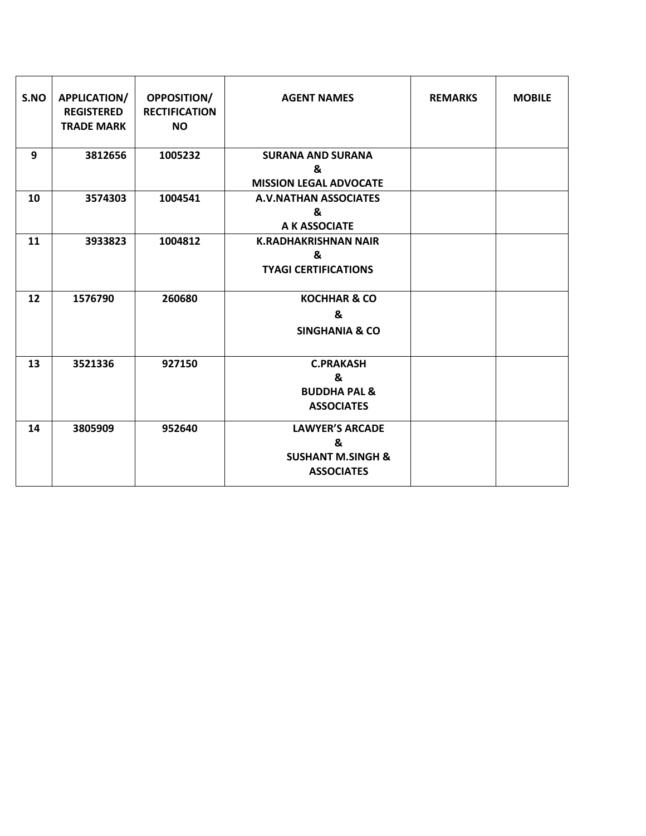| S.NO | APPLICATION/<br><b>REGISTERED</b><br><b>TRADE MARK</b> | <b>OPPOSITION/</b><br><b>RECTIFICATION</b><br><b>NO</b> | <b>AGENT NAMES</b>                                                               | <b>REMARKS</b> | <b>MOBILE</b> |
|------|--------------------------------------------------------|---------------------------------------------------------|----------------------------------------------------------------------------------|----------------|---------------|
| 9    | 3812656                                                | 1005232                                                 | <b>SURANA AND SURANA</b><br>&<br><b>MISSION LEGAL ADVOCATE</b>                   |                |               |
| 10   | 3574303                                                | 1004541                                                 | <b>A.V.NATHAN ASSOCIATES</b><br>&<br>A K ASSOCIATE                               |                |               |
| 11   | 3933823                                                | 1004812                                                 | <b>K.RADHAKRISHNAN NAIR</b><br>&<br><b>TYAGI CERTIFICATIONS</b>                  |                |               |
| 12   | 1576790                                                | 260680                                                  | <b>KOCHHAR &amp; CO</b><br>&<br><b>SINGHANIA &amp; CO</b>                        |                |               |
| 13   | 3521336                                                | 927150                                                  | <b>C.PRAKASH</b><br>&<br><b>BUDDHA PAL &amp;</b><br><b>ASSOCIATES</b>            |                |               |
| 14   | 3805909                                                | 952640                                                  | <b>LAWYER'S ARCADE</b><br>&<br><b>SUSHANT M.SINGH &amp;</b><br><b>ASSOCIATES</b> |                |               |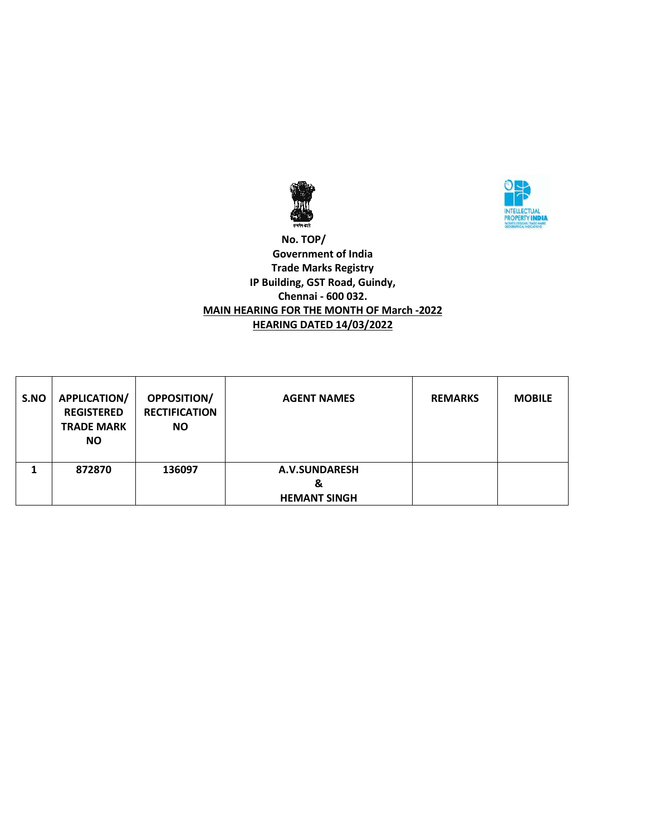



 **No. TOP/ Government of India Trade Marks Registry IP Building, GST Road, Guindy, Chennai - 600 032. MAIN HEARING FOR THE MONTH OF March -2022 HEARING DATED 14/03/2022**

| S.NO | <b>APPLICATION/</b><br><b>REGISTERED</b><br><b>TRADE MARK</b><br><b>NO</b> | <b>OPPOSITION/</b><br><b>RECTIFICATION</b><br>ΝO | <b>AGENT NAMES</b>  | <b>REMARKS</b> | <b>MOBILE</b> |
|------|----------------------------------------------------------------------------|--------------------------------------------------|---------------------|----------------|---------------|
| 1    | 872870                                                                     | 136097                                           | A.V.SUNDARESH<br>&  |                |               |
|      |                                                                            |                                                  | <b>HEMANT SINGH</b> |                |               |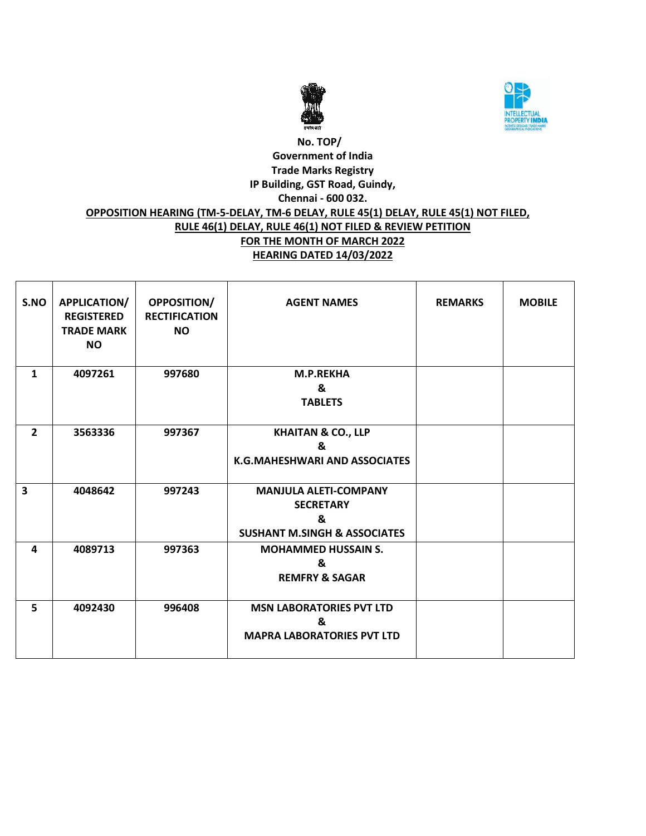



# **No. TOP/ Government of India Trade Marks Registry IP Building, GST Road, Guindy, Chennai - 600 032. OPPOSITION HEARING (TM-5-DELAY, TM-6 DELAY, RULE 45(1) DELAY, RULE 45(1) NOT FILED, RULE 46(1) DELAY, RULE 46(1) NOT FILED & REVIEW PETITION FOR THE MONTH OF MARCH 2022 HEARING DATED 14/03/2022**

| S.NO                    | <b>APPLICATION/</b><br><b>REGISTERED</b><br><b>TRADE MARK</b><br><b>NO</b> | <b>OPPOSITION/</b><br><b>RECTIFICATION</b><br><b>NO</b> | <b>AGENT NAMES</b>                                                                                                       | <b>REMARKS</b> | <b>MOBILE</b> |
|-------------------------|----------------------------------------------------------------------------|---------------------------------------------------------|--------------------------------------------------------------------------------------------------------------------------|----------------|---------------|
| $\mathbf{1}$            | 4097261                                                                    | 997680                                                  | <b>M.P.REKHA</b><br>&<br><b>TABLETS</b>                                                                                  |                |               |
| $\overline{2}$          | 3563336                                                                    | 997367                                                  | <b>KHAITAN &amp; CO., LLP</b><br>&<br>K.G.MAHESHWARI AND ASSOCIATES                                                      |                |               |
| $\overline{\mathbf{3}}$ | 4048642                                                                    | 997243                                                  | <b>MANJULA ALETI-COMPANY</b><br><b>SECRETARY</b><br>$\boldsymbol{\mathsf{R}}$<br><b>SUSHANT M.SINGH &amp; ASSOCIATES</b> |                |               |
| 4                       | 4089713                                                                    | 997363                                                  | <b>MOHAMMED HUSSAIN S.</b><br>&<br><b>REMFRY &amp; SAGAR</b>                                                             |                |               |
| 5                       | 4092430                                                                    | 996408                                                  | <b>MSN LABORATORIES PVT LTD</b><br>&<br><b>MAPRA LABORATORIES PVT LTD</b>                                                |                |               |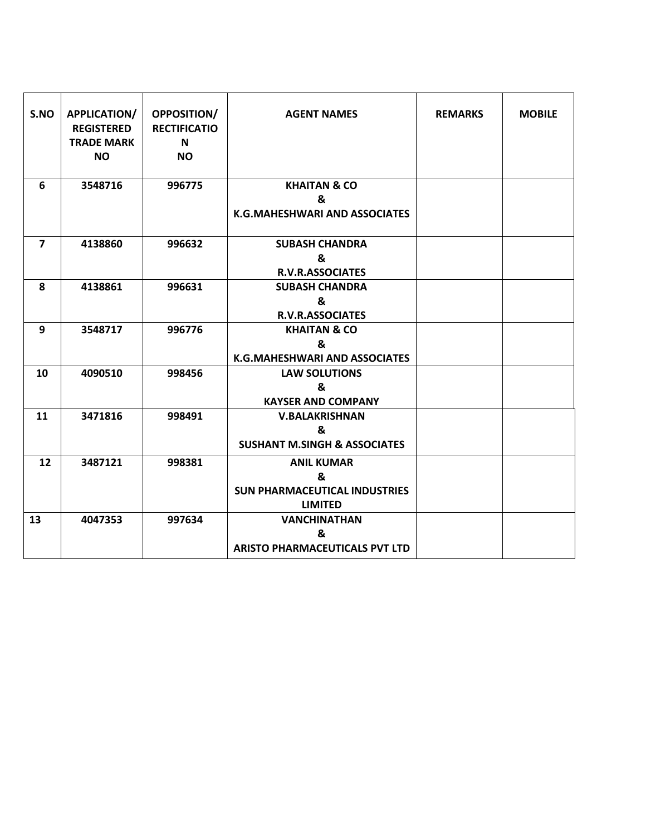| S.NO           | <b>APPLICATION/</b><br><b>REGISTERED</b><br><b>TRADE MARK</b><br><b>NO</b> | <b>OPPOSITION/</b><br><b>RECTIFICATIO</b><br>N<br><b>NO</b> | <b>AGENT NAMES</b>                                                               | <b>REMARKS</b> | <b>MOBILE</b> |
|----------------|----------------------------------------------------------------------------|-------------------------------------------------------------|----------------------------------------------------------------------------------|----------------|---------------|
| 6              | 3548716                                                                    | 996775                                                      | <b>KHAITAN &amp; CO</b><br>&<br>K.G.MAHESHWARI AND ASSOCIATES                    |                |               |
| $\overline{7}$ | 4138860                                                                    | 996632                                                      | <b>SUBASH CHANDRA</b><br>&<br><b>R.V.R.ASSOCIATES</b>                            |                |               |
| 8              | 4138861                                                                    | 996631                                                      | <b>SUBASH CHANDRA</b><br>&<br><b>R.V.R.ASSOCIATES</b>                            |                |               |
| 9              | 3548717                                                                    | 996776                                                      | <b>KHAITAN &amp; CO</b><br>&<br>K.G.MAHESHWARI AND ASSOCIATES                    |                |               |
| 10             | 4090510                                                                    | 998456                                                      | <b>LAW SOLUTIONS</b><br>&<br><b>KAYSER AND COMPANY</b>                           |                |               |
| 11             | 3471816                                                                    | 998491                                                      | <b>V.BALAKRISHNAN</b><br>&<br><b>SUSHANT M.SINGH &amp; ASSOCIATES</b>            |                |               |
| 12             | 3487121                                                                    | 998381                                                      | <b>ANIL KUMAR</b><br>&<br><b>SUN PHARMACEUTICAL INDUSTRIES</b><br><b>LIMITED</b> |                |               |
| 13             | 4047353                                                                    | 997634                                                      | <b>VANCHINATHAN</b><br>&<br><b>ARISTO PHARMACEUTICALS PVT LTD</b>                |                |               |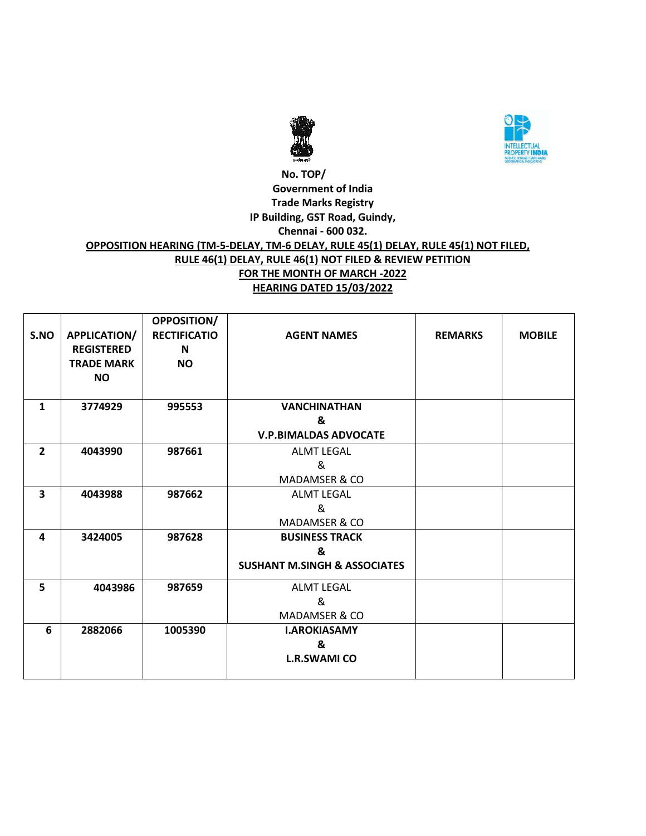



### **No. TOP/ Government of India Trade Marks Registry IP Building, GST Road, Guindy, Chennai - 600 032. OPPOSITION HEARING (TM-5-DELAY, TM-6 DELAY, RULE 45(1) DELAY, RULE 45(1) NOT FILED, RULE 46(1) DELAY, RULE 46(1) NOT FILED & REVIEW PETITION FOR THE MONTH OF MARCH -2022 HEARING DATED 15/03/2022**

|                         |                     | OPPOSITION/         |                                         |                |               |
|-------------------------|---------------------|---------------------|-----------------------------------------|----------------|---------------|
| S.NO                    | <b>APPLICATION/</b> | <b>RECTIFICATIO</b> | <b>AGENT NAMES</b>                      | <b>REMARKS</b> | <b>MOBILE</b> |
|                         | <b>REGISTERED</b>   | N                   |                                         |                |               |
|                         | <b>TRADE MARK</b>   | <b>NO</b>           |                                         |                |               |
|                         | <b>NO</b>           |                     |                                         |                |               |
|                         |                     |                     |                                         |                |               |
| 1                       | 3774929             | 995553              | <b>VANCHINATHAN</b>                     |                |               |
|                         |                     |                     | &                                       |                |               |
|                         |                     |                     | <b>V.P.BIMALDAS ADVOCATE</b>            |                |               |
| $\overline{2}$          | 4043990             | 987661              | <b>ALMT LEGAL</b>                       |                |               |
|                         |                     |                     | &                                       |                |               |
|                         |                     |                     | <b>MADAMSER &amp; CO</b>                |                |               |
| 3                       | 4043988             | 987662              | <b>ALMT LEGAL</b>                       |                |               |
|                         |                     |                     | &                                       |                |               |
|                         |                     |                     | <b>MADAMSER &amp; CO</b>                |                |               |
| $\overline{\mathbf{A}}$ | 3424005             | 987628              | <b>BUSINESS TRACK</b>                   |                |               |
|                         |                     |                     | &                                       |                |               |
|                         |                     |                     | <b>SUSHANT M.SINGH &amp; ASSOCIATES</b> |                |               |
| 5                       | 4043986             | 987659              | <b>ALMT LEGAL</b>                       |                |               |
|                         |                     |                     | &                                       |                |               |
|                         |                     |                     | <b>MADAMSER &amp; CO</b>                |                |               |
| 6                       | 2882066             | 1005390             | <b>I.AROKIASAMY</b>                     |                |               |
|                         |                     |                     | &                                       |                |               |
|                         |                     |                     | <b>L.R.SWAMI CO</b>                     |                |               |
|                         |                     |                     |                                         |                |               |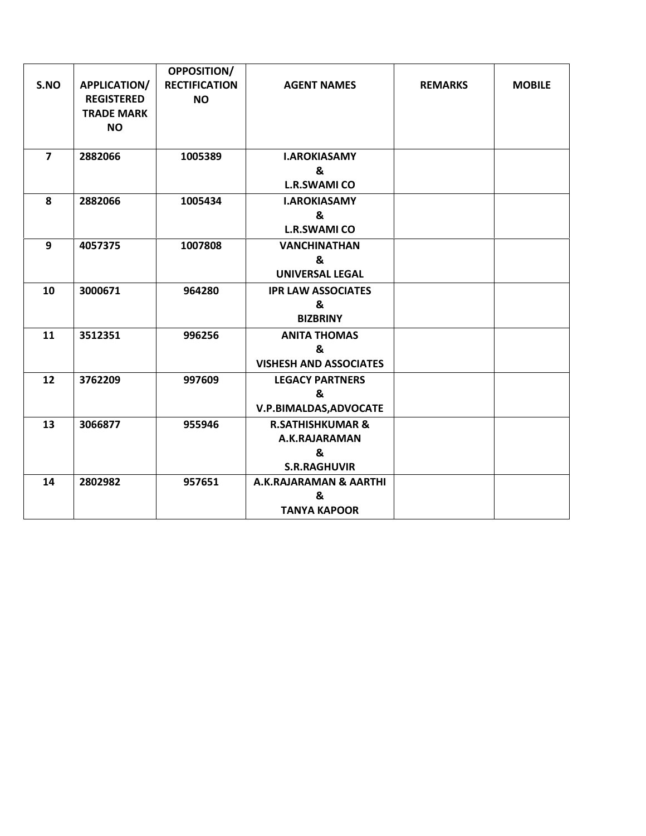|                |                     | <b>OPPOSITION/</b>   |                                   |                |               |
|----------------|---------------------|----------------------|-----------------------------------|----------------|---------------|
| S.NO           | <b>APPLICATION/</b> | <b>RECTIFICATION</b> | <b>AGENT NAMES</b>                | <b>REMARKS</b> | <b>MOBILE</b> |
|                | <b>REGISTERED</b>   | <b>NO</b>            |                                   |                |               |
|                | <b>TRADE MARK</b>   |                      |                                   |                |               |
|                | <b>NO</b>           |                      |                                   |                |               |
|                |                     |                      |                                   |                |               |
| $\overline{7}$ | 2882066             | 1005389              | <b>I.AROKIASAMY</b>               |                |               |
|                |                     |                      | &                                 |                |               |
|                |                     |                      | <b>L.R.SWAMI CO</b>               |                |               |
| 8              | 2882066             | 1005434              | <b>I.AROKIASAMY</b>               |                |               |
|                |                     |                      | &                                 |                |               |
|                |                     |                      | <b>L.R.SWAMI CO</b>               |                |               |
| 9              | 4057375             | 1007808              | <b>VANCHINATHAN</b>               |                |               |
|                |                     |                      | &                                 |                |               |
|                |                     |                      | <b>UNIVERSAL LEGAL</b>            |                |               |
| 10             | 3000671             | 964280               | <b>IPR LAW ASSOCIATES</b>         |                |               |
|                |                     |                      | &                                 |                |               |
|                |                     |                      | <b>BIZBRINY</b>                   |                |               |
| 11             | 3512351             | 996256               | <b>ANITA THOMAS</b>               |                |               |
|                |                     |                      | &                                 |                |               |
|                |                     |                      | <b>VISHESH AND ASSOCIATES</b>     |                |               |
| 12             | 3762209             | 997609               | <b>LEGACY PARTNERS</b>            |                |               |
|                |                     |                      | &                                 |                |               |
|                |                     |                      | V.P.BIMALDAS, ADVOCATE            |                |               |
| 13             | 3066877             | 955946               | <b>R.SATHISHKUMAR &amp;</b>       |                |               |
|                |                     |                      | A.K.RAJARAMAN                     |                |               |
|                |                     |                      | &                                 |                |               |
|                |                     |                      | <b>S.R.RAGHUVIR</b>               |                |               |
| 14             | 2802982             | 957651               | <b>A.K.RAJARAMAN &amp; AARTHI</b> |                |               |
|                |                     |                      | &                                 |                |               |
|                |                     |                      | <b>TANYA KAPOOR</b>               |                |               |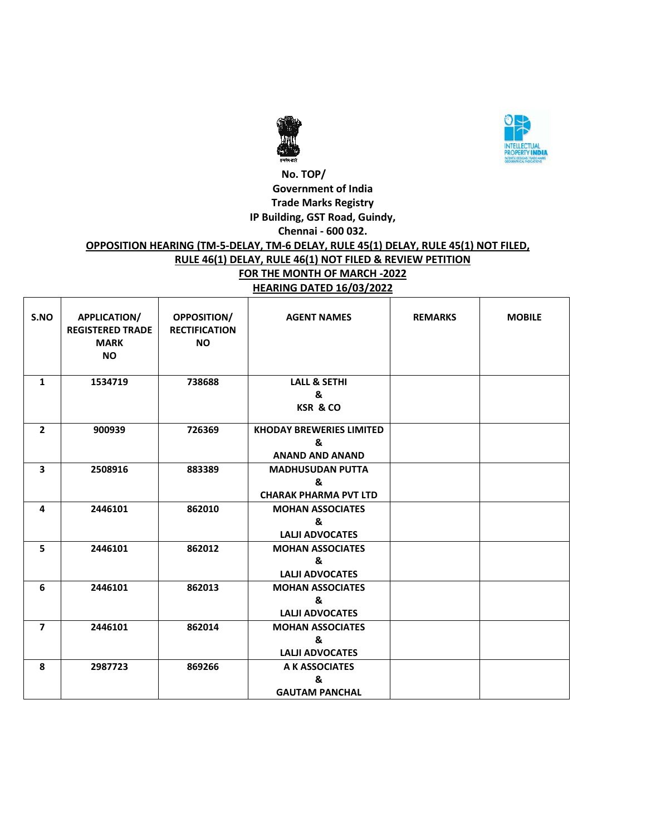



### **No. TOP/ Government of India Trade Marks Registry IP Building, GST Road, Guindy, Chennai - 600 032.**

#### **OPPOSITION HEARING (TM-5-DELAY, TM-6 DELAY, RULE 45(1) DELAY, RULE 45(1) NOT FILED, RULE 46(1) DELAY, RULE 46(1) NOT FILED & REVIEW PETITION FOR THE MONTH OF MARCH -2022 HEARING DATED 16/03/2022**

| S.NO                    | <b>APPLICATION/</b><br><b>REGISTERED TRADE</b><br><b>MARK</b><br><b>NO</b> | <b>OPPOSITION/</b><br><b>RECTIFICATION</b><br><b>NO</b> | <b>AGENT NAMES</b>                                             | <b>REMARKS</b> | <b>MOBILE</b> |
|-------------------------|----------------------------------------------------------------------------|---------------------------------------------------------|----------------------------------------------------------------|----------------|---------------|
| 1                       | 1534719                                                                    | 738688                                                  | <b>LALL &amp; SETHI</b><br>&<br><b>KSR &amp; CO</b>            |                |               |
| $\overline{2}$          | 900939                                                                     | 726369                                                  | <b>KHODAY BREWERIES LIMITED</b><br>&<br><b>ANAND AND ANAND</b> |                |               |
| $\overline{\mathbf{3}}$ | 2508916                                                                    | 883389                                                  | <b>MADHUSUDAN PUTTA</b><br>&<br><b>CHARAK PHARMA PVT LTD</b>   |                |               |
| 4                       | 2446101                                                                    | 862010                                                  | <b>MOHAN ASSOCIATES</b><br>&<br><b>LALII ADVOCATES</b>         |                |               |
| 5                       | 2446101                                                                    | 862012                                                  | <b>MOHAN ASSOCIATES</b><br>&<br><b>LALJI ADVOCATES</b>         |                |               |
| 6                       | 2446101                                                                    | 862013                                                  | <b>MOHAN ASSOCIATES</b><br>&<br><b>LALJI ADVOCATES</b>         |                |               |
| $\overline{7}$          | 2446101                                                                    | 862014                                                  | <b>MOHAN ASSOCIATES</b><br>&<br><b>LALII ADVOCATES</b>         |                |               |
| 8                       | 2987723                                                                    | 869266                                                  | A K ASSOCIATES<br>&<br><b>GAUTAM PANCHAL</b>                   |                |               |